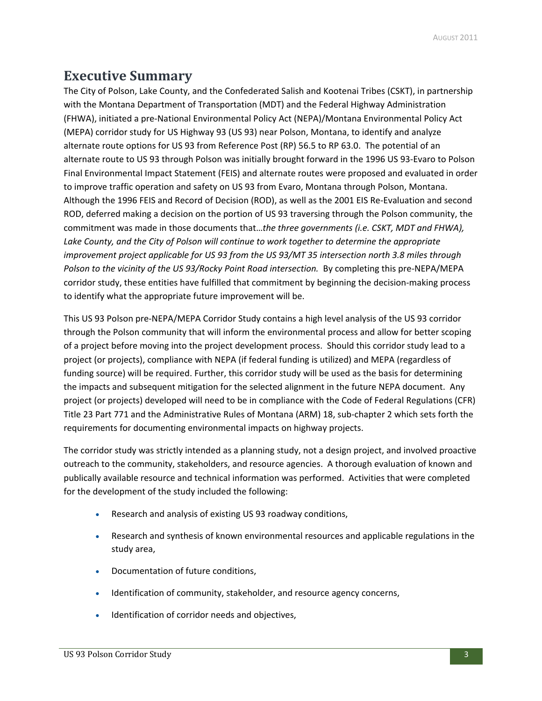# **Executive Summary**

The City of Polson, Lake County, and the Confederated Salish and Kootenai Tribes (CSKT), in partnership with the Montana Department of Transportation (MDT) and the Federal Highway Administration (FHWA), initiated a pre‐National Environmental Policy Act (NEPA)/Montana Environmental Policy Act (MEPA) corridor study for US Highway 93 (US 93) near Polson, Montana, to identify and analyze alternate route options for US 93 from Reference Post (RP) 56.5 to RP 63.0. The potential of an alternate route to US 93 through Polson was initially brought forward in the 1996 US 93‐Evaro to Polson Final Environmental Impact Statement (FEIS) and alternate routes were proposed and evaluated in order to improve traffic operation and safety on US 93 from Evaro, Montana through Polson, Montana. Although the 1996 FEIS and Record of Decision (ROD), as well as the 2001 EIS Re‐Evaluation and second ROD, deferred making a decision on the portion of US 93 traversing through the Polson community, the commitment was made in those documents that…*the three governments (i.e. CSKT, MDT and FHWA), Lake County, and the City of Polson will continue to work together to determine the appropriate improvement project applicable for US 93 from the US 93/MT 35 intersection north 3.8 miles through Polson to the vicinity of the US 93/Rocky Point Road intersection.* By completing this pre‐NEPA/MEPA corridor study, these entities have fulfilled that commitment by beginning the decision-making process to identify what the appropriate future improvement will be.

This US 93 Polson pre‐NEPA/MEPA Corridor Study contains a high level analysis of the US 93 corridor through the Polson community that will inform the environmental process and allow for better scoping of a project before moving into the project development process. Should this corridor study lead to a project (or projects), compliance with NEPA (if federal funding is utilized) and MEPA (regardless of funding source) will be required. Further, this corridor study will be used as the basis for determining the impacts and subsequent mitigation for the selected alignment in the future NEPA document. Any project (or projects) developed will need to be in compliance with the Code of Federal Regulations (CFR) Title 23 Part 771 and the Administrative Rules of Montana (ARM) 18, sub‐chapter 2 which sets forth the requirements for documenting environmental impacts on highway projects.

The corridor study was strictly intended as a planning study, not a design project, and involved proactive outreach to the community, stakeholders, and resource agencies. A thorough evaluation of known and publically available resource and technical information was performed. Activities that were completed for the development of the study included the following:

- Research and analysis of existing US 93 roadway conditions,
- Research and synthesis of known environmental resources and applicable regulations in the study area,
- Documentation of future conditions,
- Identification of community, stakeholder, and resource agency concerns,
- Identification of corridor needs and objectives,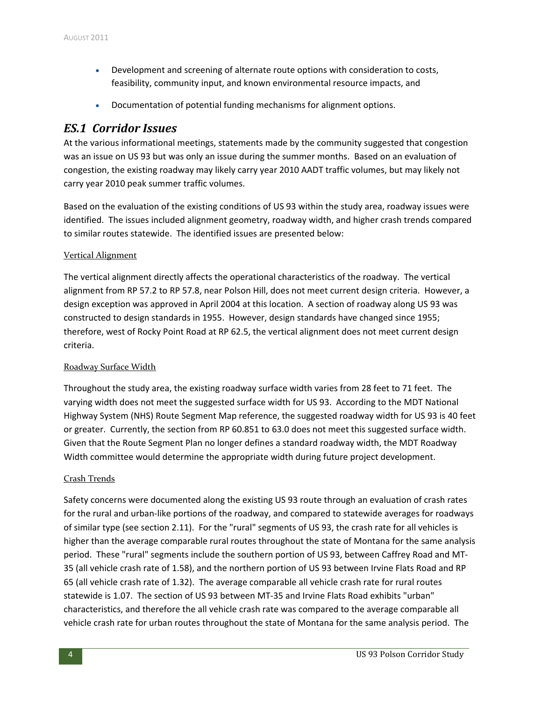- Development and screening of alternate route options with consideration to costs, feasibility, community input, and known environmental resource impacts, and
- Documentation of potential funding mechanisms for alignment options.

### *ES.1 Corridor Issues*

At the various informational meetings, statements made by the community suggested that congestion was an issue on US 93 but was only an issue during the summer months. Based on an evaluation of congestion, the existing roadway may likely carry year 2010 AADT traffic volumes, but may likely not carry year 2010 peak summer traffic volumes.

Based on the evaluation of the existing conditions of US 93 within the study area, roadway issues were identified. The issues included alignment geometry, roadway width, and higher crash trends compared to similar routes statewide. The identified issues are presented below:

#### Vertical Alignment

The vertical alignment directly affects the operational characteristics of the roadway. The vertical alignment from RP 57.2 to RP 57.8, near Polson Hill, does not meet current design criteria. However, a design exception was approved in April 2004 at this location. A section of roadway along US 93 was constructed to design standards in 1955. However, design standards have changed since 1955; therefore, west of Rocky Point Road at RP 62.5, the vertical alignment does not meet current design criteria.

#### Roadway Surface Width

Throughout the study area, the existing roadway surface width varies from 28 feet to 71 feet. The varying width does not meet the suggested surface width for US 93. According to the MDT National Highway System (NHS) Route Segment Map reference, the suggested roadway width for US 93 is 40 feet or greater. Currently, the section from RP 60.851 to 63.0 does not meet this suggested surface width. Given that the Route Segment Plan no longer defines a standard roadway width, the MDT Roadway Width committee would determine the appropriate width during future project development.

#### Crash Trends

Safety concerns were documented along the existing US 93 route through an evaluation of crash rates for the rural and urban-like portions of the roadway, and compared to statewide averages for roadways of similar type (see section 2.11). For the "rural" segments of US 93, the crash rate for all vehicles is higher than the average comparable rural routes throughout the state of Montana for the same analysis period. These "rural" segments include the southern portion of US 93, between Caffrey Road and MT‐ 35 (all vehicle crash rate of 1.58), and the northern portion of US 93 between Irvine Flats Road and RP 65 (all vehicle crash rate of 1.32). The average comparable all vehicle crash rate for rural routes statewide is 1.07. The section of US 93 between MT‐35 and Irvine Flats Road exhibits "urban" characteristics, and therefore the all vehicle crash rate was compared to the average comparable all vehicle crash rate for urban routes throughout the state of Montana for the same analysis period. The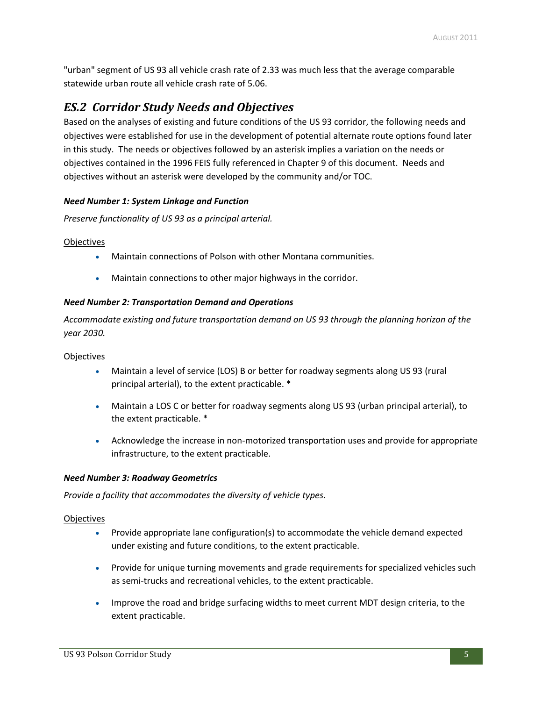"urban" segment of US 93 all vehicle crash rate of 2.33 was much less that the average comparable statewide urban route all vehicle crash rate of 5.06.

## *ES.2 Corridor Study Needs and Objectives*

Based on the analyses of existing and future conditions of the US 93 corridor, the following needs and objectives were established for use in the development of potential alternate route options found later in this study. The needs or objectives followed by an asterisk implies a variation on the needs or objectives contained in the 1996 FEIS fully referenced in Chapter 9 of this document. Needs and objectives without an asterisk were developed by the community and/or TOC.

#### *Need Number 1: System Linkage and Function*

*Preserve functionality of US 93 as a principal arterial.*

#### **Objectives**

- Maintain connections of Polson with other Montana communities.
- Maintain connections to other major highways in the corridor.

#### *Need Number 2: Transportation Demand and Operations*

*Accommodate existing and future transportation demand on US 93 through the planning horizon of the year 2030.*

#### **Objectives**

- Maintain a level of service (LOS) B or better for roadway segments along US 93 (rural principal arterial), to the extent practicable. \*
- Maintain a LOS C or better for roadway segments along US 93 (urban principal arterial), to the extent practicable. \*
- Acknowledge the increase in non‐motorized transportation uses and provide for appropriate infrastructure, to the extent practicable.

#### *Need Number 3: Roadway Geometrics*

*Provide a facility that accommodates the diversity of vehicle types*.

#### **Objectives**

- Provide appropriate lane configuration(s) to accommodate the vehicle demand expected under existing and future conditions, to the extent practicable.
- Provide for unique turning movements and grade requirements for specialized vehicles such as semi-trucks and recreational vehicles, to the extent practicable.
- Improve the road and bridge surfacing widths to meet current MDT design criteria, to the extent practicable.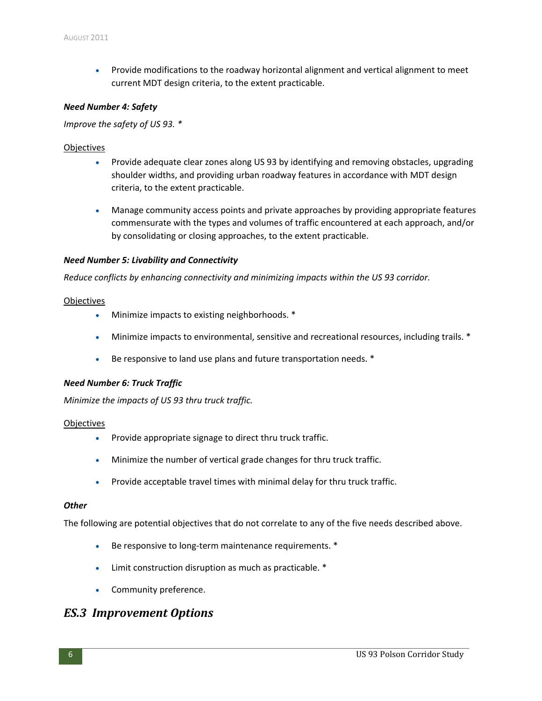Provide modifications to the roadway horizontal alignment and vertical alignment to meet current MDT design criteria, to the extent practicable.

#### *Need Number 4: Safety*

*Improve the safety of US 93. \**

#### **Objectives**

- Provide adequate clear zones along US 93 by identifying and removing obstacles, upgrading shoulder widths, and providing urban roadway features in accordance with MDT design criteria, to the extent practicable.
- Manage community access points and private approaches by providing appropriate features commensurate with the types and volumes of traffic encountered at each approach, and/or by consolidating or closing approaches, to the extent practicable.

#### *Need Number 5: Livability and Connectivity*

*Reduce conflicts by enhancing connectivity and minimizing impacts within the US 93 corridor.*

#### **Objectives**

- Minimize impacts to existing neighborhoods. \*
- Minimize impacts to environmental, sensitive and recreational resources, including trails. \*
- Be responsive to land use plans and future transportation needs. \*

#### *Need Number 6: Truck Traffic*

*Minimize the impacts of US 93 thru truck traffic.*

#### **Objectives**

- Provide appropriate signage to direct thru truck traffic.
- Minimize the number of vertical grade changes for thru truck traffic.
- Provide acceptable travel times with minimal delay for thru truck traffic.

#### *Other*

The following are potential objectives that do not correlate to any of the five needs described above.

- Be responsive to long-term maintenance requirements. <sup>\*</sup>
- Limit construction disruption as much as practicable. \*
- Community preference.

### *ES.3 Improvement Options*